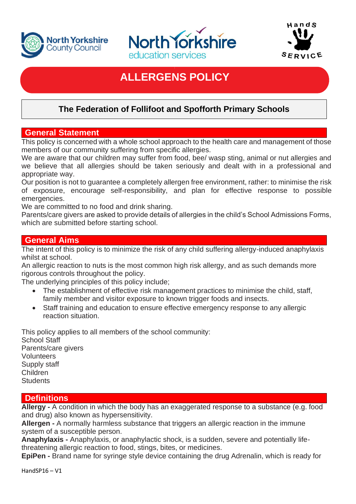





# **ALLERGENS POLICY**

## **The Federation of Follifoot and Spofforth Primary Schools**

#### **General Statement**

This policy is concerned with a whole school approach to the health care and management of those members of our community suffering from specific allergies.

We are aware that our children may suffer from food, bee/ wasp sting, animal or nut allergies and we believe that all allergies should be taken seriously and dealt with in a professional and appropriate way.

Our position is not to guarantee a completely allergen free environment, rather: to minimise the risk of exposure, encourage self-responsibility, and plan for effective response to possible emergencies.

We are committed to no food and drink sharing.

Parents/care givers are asked to provide details of allergies in the child's School Admissions Forms, which are submitted before starting school.

#### **General Aims**

The intent of this policy is to minimize the risk of any child suffering allergy-induced anaphylaxis whilst at school.

An allergic reaction to nuts is the most common high risk allergy, and as such demands more rigorous controls throughout the policy.

The underlying principles of this policy include;

- The establishment of effective risk management practices to minimise the child, staff, family member and visitor exposure to known trigger foods and insects.
- Staff training and education to ensure effective emergency response to any allergic reaction situation.

This policy applies to all members of the school community: School Staff Parents/care givers Volunteers Supply staff

Children **Students** 

## **Definitions**

**Allergy -** A condition in which the body has an exaggerated response to a substance (e.g. food and drug) also known as hypersensitivity.

**Allergen -** A normally harmless substance that triggers an allergic reaction in the immune system of a susceptible person.

**Anaphylaxis -** Anaphylaxis, or anaphylactic shock, is a sudden, severe and potentially lifethreatening allergic reaction to food, stings, bites, or medicines.

**EpiPen -** Brand name for syringe style device containing the drug Adrenalin, which is ready for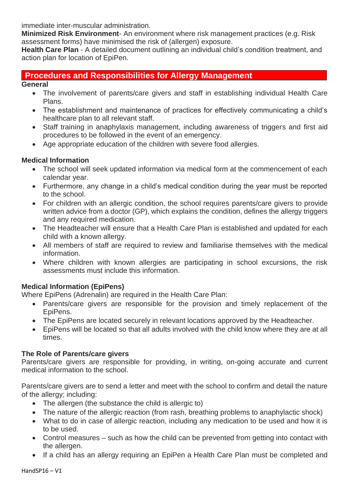immediate inter-muscular administration.

**Minimized Risk Environment**- An environment where risk management practices (e.g. Risk assessment forms) have minimised the risk of (allergen) exposure.

**Health Care Plan** - A detailed document outlining an individual child's condition treatment, and action plan for location of EpiPen.

## **Procedures and Responsibilities for Allergy Management**

#### **General**

- The involvement of parents/care givers and staff in establishing individual Health Care Plans.
- The establishment and maintenance of practices for effectively communicating a child's healthcare plan to all relevant staff.
- Staff training in anaphylaxis management, including awareness of triggers and first aid procedures to be followed in the event of an emergency.
- Age appropriate education of the children with severe food allergies.

#### **Medical Information**

- The school will seek updated information via medical form at the commencement of each calendar year.
- Furthermore, any change in a child's medical condition during the year must be reported to the school.
- For children with an allergic condition, the school requires parents/care givers to provide written advice from a doctor (GP), which explains the condition, defines the allergy triggers and any required medication.
- The Headteacher will ensure that a Health Care Plan is established and updated for each child with a known allergy.
- All members of staff are required to review and familiarise themselves with the medical information.
- Where children with known allergies are participating in school excursions, the risk assessments must include this information.

#### **Medical Information (EpiPens)**

Where EpiPens (Adrenalin) are required in the Health Care Plan:

- Parents/care givers are responsible for the provision and timely replacement of the EpiPens.
- The EpiPens are located securely in relevant locations approved by the Headteacher.
- EpiPens will be located so that all adults involved with the child know where they are at all times.

#### **The Role of Parents/care givers**

Parents/care givers are responsible for providing, in writing, on-going accurate and current medical information to the school.

Parents/care givers are to send a letter and meet with the school to confirm and detail the nature of the allergy; including:

- The allergen (the substance the child is allergic to)
- The nature of the allergic reaction (from rash, breathing problems to anaphylactic shock)
- What to do in case of allergic reaction, including any medication to be used and how it is to be used.
- Control measures such as how the child can be prevented from getting into contact with the allergen.
- If a child has an allergy requiring an EpiPen a Health Care Plan must be completed and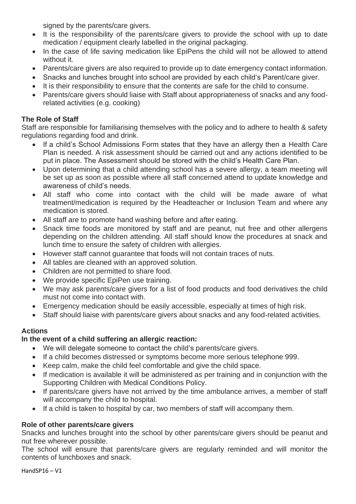signed by the parents/care givers.

- It is the responsibility of the parents/care givers to provide the school with up to date medication / equipment clearly labelled in the original packaging.
- In the case of life saving medication like EpiPens the child will not be allowed to attend without it.
- Parents/care givers are also required to provide up to date emergency contact information.
- Snacks and lunches brought into school are provided by each child's Parent/care giver.
- It is their responsibility to ensure that the contents are safe for the child to consume.
- Parents/care givers should liaise with Staff about appropriateness of snacks and any foodrelated activities (e.g. cooking)

#### **The Role of Staff**

Staff are responsible for familiarising themselves with the policy and to adhere to health & safety regulations regarding food and drink.

- If a child's School Admissions Form states that they have an allergy then a Health Care Plan is needed. A risk assessment should be carried out and any actions identified to be put in place. The Assessment should be stored with the child's Health Care Plan.
- Upon determining that a child attending school has a severe allergy, a team meeting will be set up as soon as possible where all staff concerned attend to update knowledge and awareness of child's needs.
- All staff who come into contact with the child will be made aware of what treatment/medication is required by the Headteacher or Inclusion Team and where any medication is stored.
- All staff are to promote hand washing before and after eating.
- Snack time foods are monitored by staff and are peanut, nut free and other allergens depending on the children attending. All staff should know the procedures at snack and lunch time to ensure the safety of children with allergies.
- However staff cannot guarantee that foods will not contain traces of nuts.
- All tables are cleaned with an approved solution.
- Children are not permitted to share food.
- We provide specific EpiPen use training.
- We may ask parents/care givers for a list of food products and food derivatives the child must not come into contact with.
- Emergency medication should be easily accessible, especially at times of high risk.
- Staff should liaise with parents/care givers about snacks and any food-related activities.

## **Actions**

## **In the event of a child suffering an allergic reaction:**

- We will delegate someone to contact the child's parents/care givers.
- If a child becomes distressed or symptoms become more serious telephone 999.
- Keep calm, make the child feel comfortable and give the child space.
- If medication is available it will be administered as per training and in conjunction with the Supporting Children with Medical Conditions Policy.
- If parents/care givers have not arrived by the time ambulance arrives, a member of staff will accompany the child to hospital.
- If a child is taken to hospital by car, two members of staff will accompany them.

## **Role of other parents/care givers**

Snacks and lunches brought into the school by other parents/care givers should be peanut and nut free wherever possible.

The school will ensure that parents/care givers are regularly reminded and will monitor the contents of lunchboxes and snack.